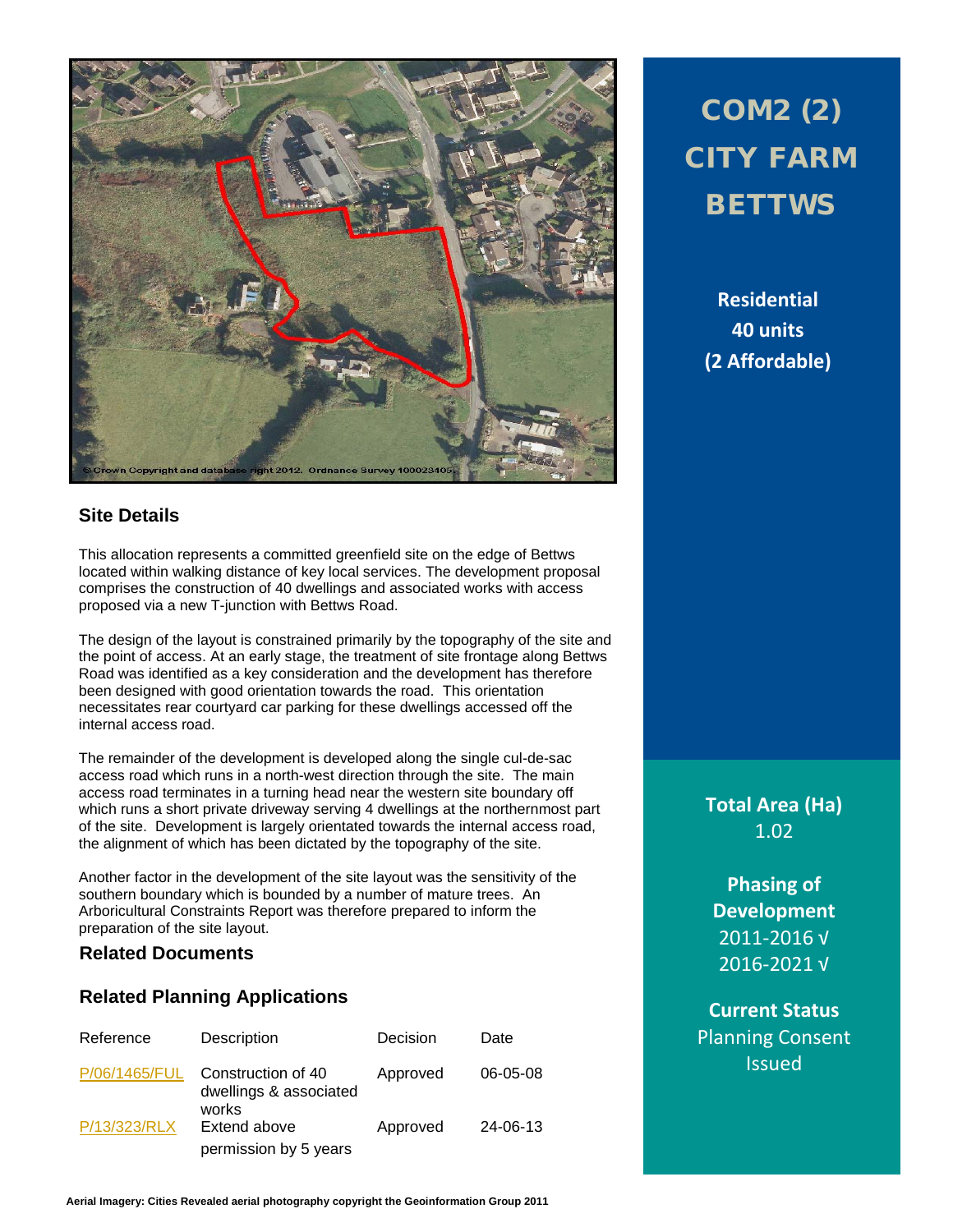

### **Site Details**

This allocation represents a committed greenfield site on the edge of Bettws located within walking distance of key local services. The development proposal comprises the construction of 40 dwellings and associated works with access proposed via a new T-junction with Bettws Road.

The design of the layout is constrained primarily by the topography of the site and the point of access. At an early stage, the treatment of site frontage along Bettws Road was identified as a key consideration and the development has therefore been designed with good orientation towards the road. This orientation necessitates rear courtyard car parking for these dwellings accessed off the internal access road.

The remainder of the development is developed along the single cul-de-sac access road which runs in a north-west direction through the site. The main access road terminates in a turning head near the western site boundary off which runs a short private driveway serving 4 dwellings at the northernmost part of the site. Development is largely orientated towards the internal access road, the alignment of which has been dictated by the topography of the site.

Another factor in the development of the site layout was the sensitivity of the southern boundary which is bounded by a number of mature trees. An Arboricultural Constraints Report was therefore prepared to inform the preparation of the site layout.

### **Related Documents**

### **Related Planning Applications**

| Reference     | Description                                           | Decision | Date     |
|---------------|-------------------------------------------------------|----------|----------|
| P/06/1465/FUL | Construction of 40<br>dwellings & associated<br>works | Approved | 06-05-08 |
| P/13/323/RLX  | Extend above<br>permission by 5 years                 | Approved | 24-06-13 |

# COM2 (2) CITY FARM **BETTWS**

**Residential 40 units (2 Affordable)**

**Total Area (Ha)** 1.02

**Phasing of Development** 2011-2016 √ 2016-2021 √

**Current Status** Planning Consent Issued